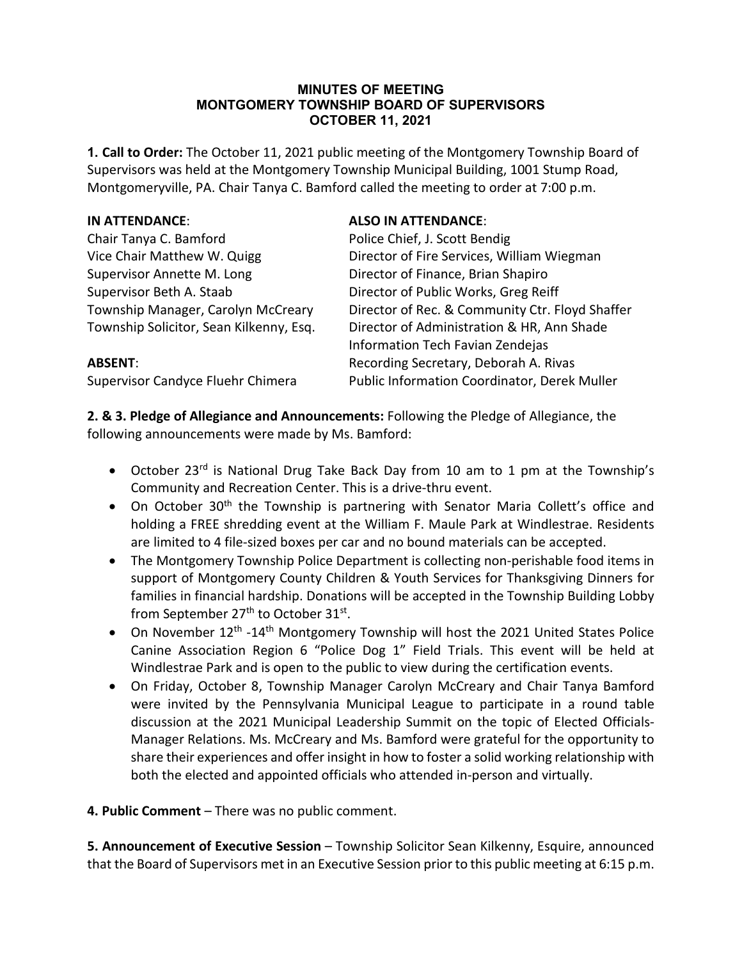#### **MINUTES OF MEETING MONTGOMERY TOWNSHIP BOARD OF SUPERVISORS OCTOBER 11, 2021**

**1. Call to Order:** The October 11, 2021 public meeting of the Montgomery Township Board of Supervisors was held at the Montgomery Township Municipal Building, 1001 Stump Road, Montgomeryville, PA. Chair Tanya C. Bamford called the meeting to order at 7:00 p.m.

| IN ATTENDANCE:                          | <b>ALSO IN ATTENDANCE:</b>                      |
|-----------------------------------------|-------------------------------------------------|
| Chair Tanya C. Bamford                  | Police Chief, J. Scott Bendig                   |
| Vice Chair Matthew W. Quigg             | Director of Fire Services, William Wiegman      |
| Supervisor Annette M. Long              | Director of Finance, Brian Shapiro              |
| Supervisor Beth A. Staab                | Director of Public Works, Greg Reiff            |
| Township Manager, Carolyn McCreary      | Director of Rec. & Community Ctr. Floyd Shaffer |
| Township Solicitor, Sean Kilkenny, Esq. | Director of Administration & HR, Ann Shade      |
|                                         | Information Tech Favian Zendejas                |
| <b>ABSENT:</b>                          | Recording Secretary, Deborah A. Rivas           |
| Supervisor Candyce Fluehr Chimera       | Public Information Coordinator, Derek Muller    |

**2. & 3. Pledge of Allegiance and Announcements:** Following the Pledge of Allegiance, the following announcements were made by Ms. Bamford:

- October 23<sup>rd</sup> is National Drug Take Back Day from 10 am to 1 pm at the Township's Community and Recreation Center. This is a drive-thru event.
- On October 30<sup>th</sup> the Township is partnering with Senator Maria Collett's office and holding a FREE shredding event at the William F. Maule Park at Windlestrae. Residents are limited to 4 file-sized boxes per car and no bound materials can be accepted.
- The Montgomery Township Police Department is collecting non-perishable food items in support of Montgomery County Children & Youth Services for Thanksgiving Dinners for families in financial hardship. Donations will be accepted in the Township Building Lobby from September 27<sup>th</sup> to October 31<sup>st</sup>.
- On November 12<sup>th</sup> -14<sup>th</sup> Montgomery Township will host the 2021 United States Police Canine Association Region 6 "Police Dog 1" Field Trials. This event will be held at Windlestrae Park and is open to the public to view during the certification events.
- On Friday, October 8, Township Manager Carolyn McCreary and Chair Tanya Bamford were invited by the Pennsylvania Municipal League to participate in a round table discussion at the 2021 Municipal Leadership Summit on the topic of Elected Officials-Manager Relations. Ms. McCreary and Ms. Bamford were grateful for the opportunity to share their experiences and offer insight in how to foster a solid working relationship with both the elected and appointed officials who attended in-person and virtually.
- **4. Public Comment** There was no public comment.

**5. Announcement of Executive Session** – Township Solicitor Sean Kilkenny, Esquire, announced that the Board of Supervisors met in an Executive Session prior to this public meeting at 6:15 p.m.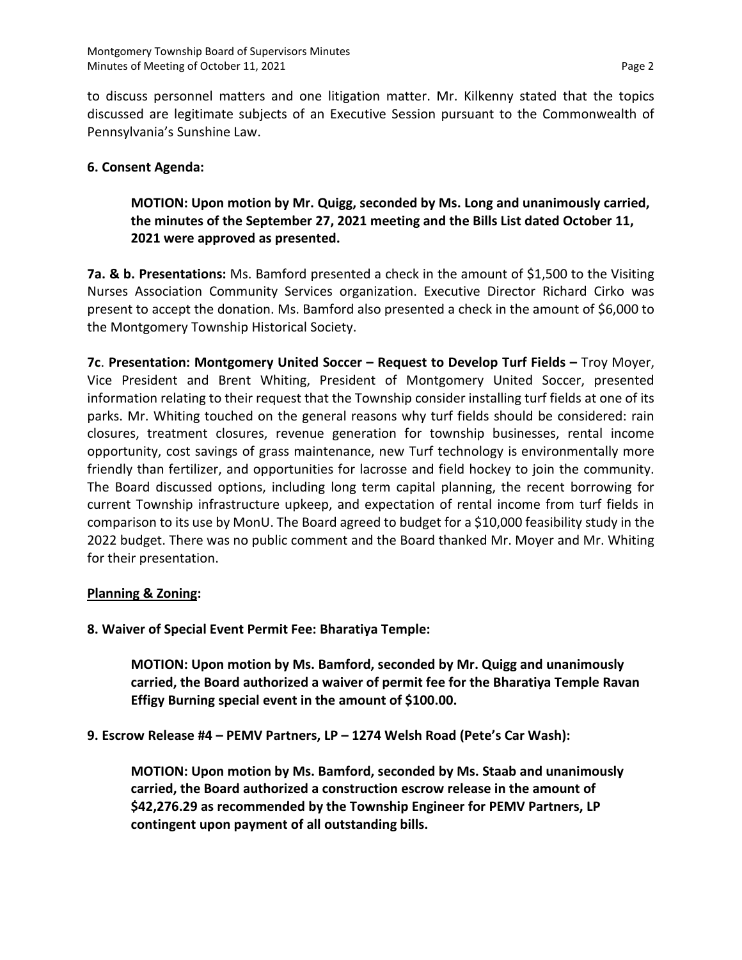to discuss personnel matters and one litigation matter. Mr. Kilkenny stated that the topics discussed are legitimate subjects of an Executive Session pursuant to the Commonwealth of Pennsylvania's Sunshine Law.

## **6. Consent Agenda:**

# **MOTION: Upon motion by Mr. Quigg, seconded by Ms. Long and unanimously carried, the minutes of the September 27, 2021 meeting and the Bills List dated October 11, 2021 were approved as presented.**

**7a. & b. Presentations:** Ms. Bamford presented a check in the amount of \$1,500 to the Visiting Nurses Association Community Services organization. Executive Director Richard Cirko was present to accept the donation. Ms. Bamford also presented a check in the amount of \$6,000 to the Montgomery Township Historical Society.

**7c**. **Presentation: Montgomery United Soccer – Request to Develop Turf Fields –** Troy Moyer, Vice President and Brent Whiting, President of Montgomery United Soccer, presented information relating to their request that the Township consider installing turf fields at one of its parks. Mr. Whiting touched on the general reasons why turf fields should be considered: rain closures, treatment closures, revenue generation for township businesses, rental income opportunity, cost savings of grass maintenance, new Turf technology is environmentally more friendly than fertilizer, and opportunities for lacrosse and field hockey to join the community. The Board discussed options, including long term capital planning, the recent borrowing for current Township infrastructure upkeep, and expectation of rental income from turf fields in comparison to its use by MonU. The Board agreed to budget for a \$10,000 feasibility study in the 2022 budget. There was no public comment and the Board thanked Mr. Moyer and Mr. Whiting for their presentation.

#### **Planning & Zoning:**

## **8. Waiver of Special Event Permit Fee: Bharatiya Temple:**

**MOTION: Upon motion by Ms. Bamford, seconded by Mr. Quigg and unanimously carried, the Board authorized a waiver of permit fee for the Bharatiya Temple Ravan Effigy Burning special event in the amount of \$100.00.**

## **9. Escrow Release #4 – PEMV Partners, LP – 1274 Welsh Road (Pete's Car Wash):**

**MOTION: Upon motion by Ms. Bamford, seconded by Ms. Staab and unanimously carried, the Board authorized a construction escrow release in the amount of \$42,276.29 as recommended by the Township Engineer for PEMV Partners, LP contingent upon payment of all outstanding bills.**